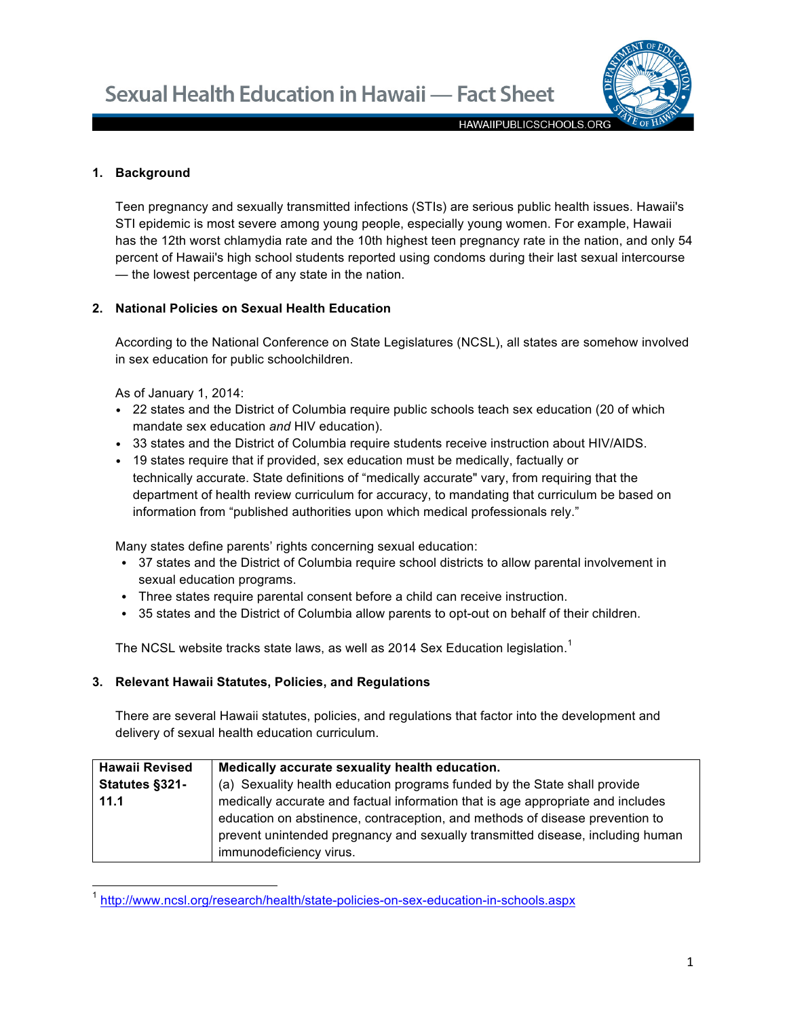

**HAWAIIPUBLICSCHOOLS.ORG** 

### **1. Background**

Teen pregnancy and sexually transmitted infections (STIs) are serious public health issues. Hawaii's STI epidemic is most severe among young people, especially young women. For example, Hawaii has the 12th worst chlamydia rate and the 10th highest teen pregnancy rate in the nation, and only 54 percent of Hawaii's high school students reported using condoms during their last sexual intercourse — the lowest percentage of any state in the nation.

### **2. National Policies on Sexual Health Education**

According to the National Conference on State Legislatures (NCSL), all states are somehow involved in sex education for public schoolchildren.

As of January 1, 2014:

- 22 states and the District of Columbia require public schools teach sex education (20 of which mandate sex education *and* HIV education).
- 33 states and the District of Columbia require students receive instruction about HIV/AIDS.
- 19 states require that if provided, sex education must be medically, factually or technically accurate. State definitions of "medically accurate" vary, from requiring that the department of health review curriculum for accuracy, to mandating that curriculum be based on information from "published authorities upon which medical professionals rely."

Many states define parents' rights concerning sexual education:

- 37 states and the District of Columbia require school districts to allow parental involvement in sexual education programs.
- Three states require parental consent before a child can receive instruction.
- 35 states and the District of Columbia allow parents to opt-out on behalf of their children.

The NCSL website tracks state laws, as well as 2014 Sex Education legislation.<sup>1</sup>

## **3. Relevant Hawaii Statutes, Policies, and Regulations**

There are several Hawaii statutes, policies, and regulations that factor into the development and delivery of sexual health education curriculum.

| <b>Hawaii Revised</b> | Medically accurate sexuality health education.                                  |
|-----------------------|---------------------------------------------------------------------------------|
| Statutes §321-        | (a) Sexuality health education programs funded by the State shall provide       |
| 11.1                  | medically accurate and factual information that is age appropriate and includes |
|                       | education on abstinence, contraception, and methods of disease prevention to    |
|                       | prevent unintended pregnancy and sexually transmitted disease, including human  |
|                       | immunodeficiency virus.                                                         |

<sup>1</sup> http://www.ncsl.org/research/health/state-policies-on-sex-education-in-schools.aspx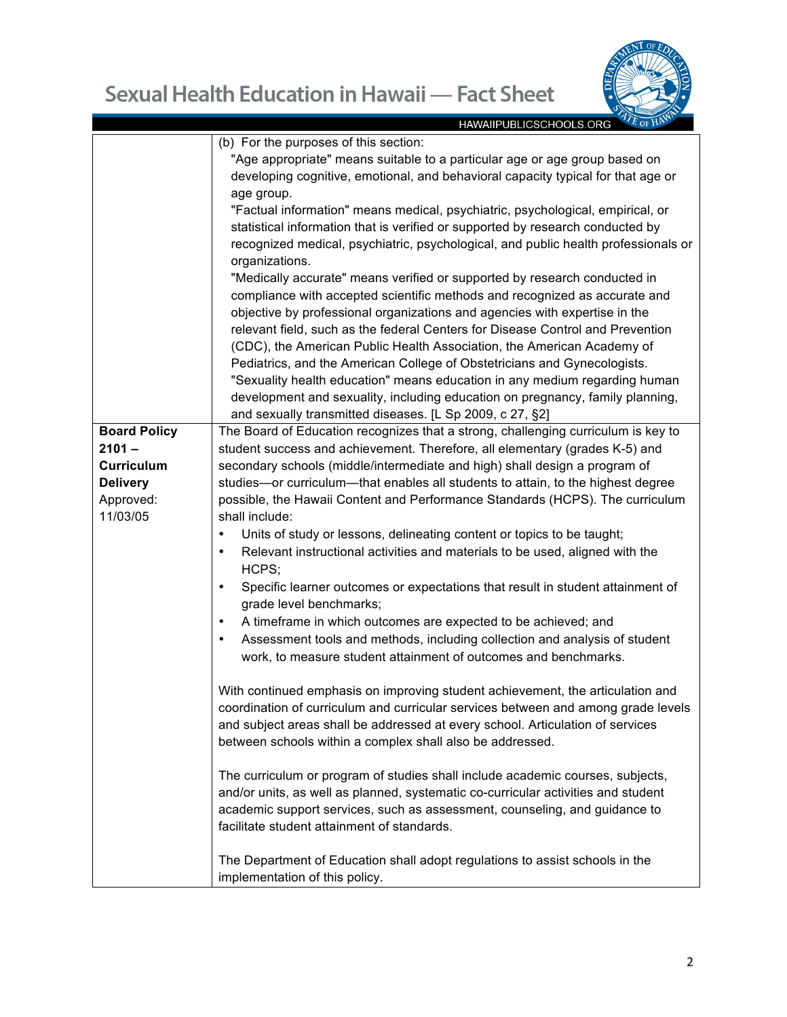

|                     | HAWAIIPUBLICSCHOOLS.ORG<br>$\sim$ 01 m                                                      |
|---------------------|---------------------------------------------------------------------------------------------|
|                     | (b) For the purposes of this section:                                                       |
|                     | "Age appropriate" means suitable to a particular age or age group based on                  |
|                     | developing cognitive, emotional, and behavioral capacity typical for that age or            |
|                     | age group.                                                                                  |
|                     | "Factual information" means medical, psychiatric, psychological, empirical, or              |
|                     | statistical information that is verified or supported by research conducted by              |
|                     | recognized medical, psychiatric, psychological, and public health professionals or          |
|                     | organizations.                                                                              |
|                     | "Medically accurate" means verified or supported by research conducted in                   |
|                     | compliance with accepted scientific methods and recognized as accurate and                  |
|                     | objective by professional organizations and agencies with expertise in the                  |
|                     | relevant field, such as the federal Centers for Disease Control and Prevention              |
|                     |                                                                                             |
|                     | (CDC), the American Public Health Association, the American Academy of                      |
|                     | Pediatrics, and the American College of Obstetricians and Gynecologists.                    |
|                     | "Sexuality health education" means education in any medium regarding human                  |
|                     | development and sexuality, including education on pregnancy, family planning,               |
|                     | and sexually transmitted diseases. [L Sp 2009, c 27, §2]                                    |
| <b>Board Policy</b> | The Board of Education recognizes that a strong, challenging curriculum is key to           |
| $2101 -$            | student success and achievement. Therefore, all elementary (grades K-5) and                 |
| <b>Curriculum</b>   | secondary schools (middle/intermediate and high) shall design a program of                  |
| <b>Delivery</b>     | studies-or curriculum-that enables all students to attain, to the highest degree            |
| Approved:           | possible, the Hawaii Content and Performance Standards (HCPS). The curriculum               |
| 11/03/05            | shall include:                                                                              |
|                     | Units of study or lessons, delineating content or topics to be taught;<br>$\bullet$         |
|                     | Relevant instructional activities and materials to be used, aligned with the<br>$\bullet$   |
|                     | HCPS;                                                                                       |
|                     | Specific learner outcomes or expectations that result in student attainment of<br>$\bullet$ |
|                     | grade level benchmarks;                                                                     |
|                     | A timeframe in which outcomes are expected to be achieved; and<br>$\bullet$                 |
|                     | Assessment tools and methods, including collection and analysis of student<br>$\bullet$     |
|                     |                                                                                             |
|                     | work, to measure student attainment of outcomes and benchmarks.                             |
|                     |                                                                                             |
|                     | With continued emphasis on improving student achievement, the articulation and              |
|                     | coordination of curriculum and curricular services between and among grade levels           |
|                     | and subject areas shall be addressed at every school. Articulation of services              |
|                     | between schools within a complex shall also be addressed.                                   |
|                     | The curriculum or program of studies shall include academic courses, subjects,              |
|                     |                                                                                             |
|                     | and/or units, as well as planned, systematic co-curricular activities and student           |
|                     | academic support services, such as assessment, counseling, and guidance to                  |
|                     | facilitate student attainment of standards.                                                 |
|                     |                                                                                             |
|                     | The Department of Education shall adopt regulations to assist schools in the                |
|                     | implementation of this policy.                                                              |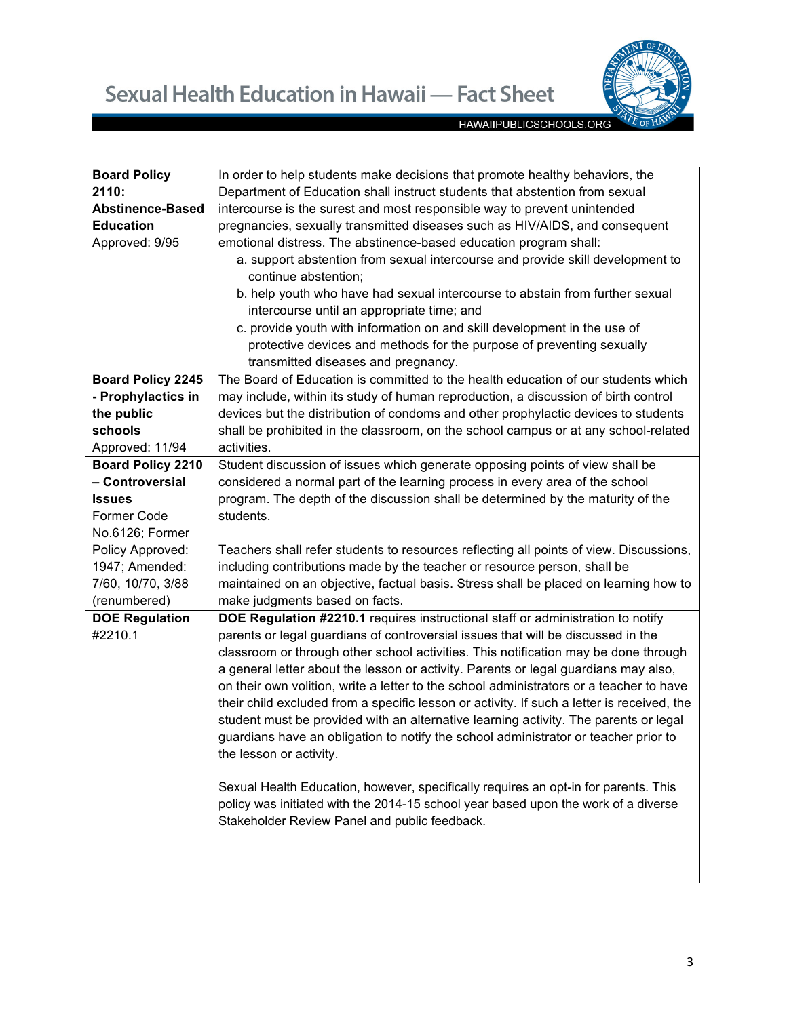

| <b>Board Policy</b>      | In order to help students make decisions that promote healthy behaviors, the               |
|--------------------------|--------------------------------------------------------------------------------------------|
| 2110:                    | Department of Education shall instruct students that abstention from sexual                |
| <b>Abstinence-Based</b>  | intercourse is the surest and most responsible way to prevent unintended                   |
| <b>Education</b>         | pregnancies, sexually transmitted diseases such as HIV/AIDS, and consequent                |
| Approved: 9/95           | emotional distress. The abstinence-based education program shall:                          |
|                          | a. support abstention from sexual intercourse and provide skill development to             |
|                          | continue abstention;                                                                       |
|                          | b. help youth who have had sexual intercourse to abstain from further sexual               |
|                          | intercourse until an appropriate time; and                                                 |
|                          | c. provide youth with information on and skill development in the use of                   |
|                          | protective devices and methods for the purpose of preventing sexually                      |
|                          | transmitted diseases and pregnancy.                                                        |
| <b>Board Policy 2245</b> | The Board of Education is committed to the health education of our students which          |
| - Prophylactics in       | may include, within its study of human reproduction, a discussion of birth control         |
| the public               | devices but the distribution of condoms and other prophylactic devices to students         |
| schools                  | shall be prohibited in the classroom, on the school campus or at any school-related        |
| Approved: 11/94          | activities.                                                                                |
| <b>Board Policy 2210</b> | Student discussion of issues which generate opposing points of view shall be               |
| - Controversial          | considered a normal part of the learning process in every area of the school               |
| Issues                   | program. The depth of the discussion shall be determined by the maturity of the            |
| <b>Former Code</b>       | students.                                                                                  |
| No.6126; Former          |                                                                                            |
| Policy Approved:         | Teachers shall refer students to resources reflecting all points of view. Discussions,     |
| 1947; Amended:           | including contributions made by the teacher or resource person, shall be                   |
| 7/60, 10/70, 3/88        | maintained on an objective, factual basis. Stress shall be placed on learning how to       |
| (renumbered)             | make judgments based on facts.                                                             |
| <b>DOE Regulation</b>    | DOE Regulation #2210.1 requires instructional staff or administration to notify            |
| #2210.1                  | parents or legal guardians of controversial issues that will be discussed in the           |
|                          | classroom or through other school activities. This notification may be done through        |
|                          | a general letter about the lesson or activity. Parents or legal guardians may also,        |
|                          | on their own volition, write a letter to the school administrators or a teacher to have    |
|                          |                                                                                            |
|                          | their child excluded from a specific lesson or activity. If such a letter is received, the |
|                          | student must be provided with an alternative learning activity. The parents or legal       |
|                          | guardians have an obligation to notify the school administrator or teacher prior to        |
|                          | the lesson or activity.                                                                    |
|                          |                                                                                            |
|                          | Sexual Health Education, however, specifically requires an opt-in for parents. This        |
|                          | policy was initiated with the 2014-15 school year based upon the work of a diverse         |
|                          | Stakeholder Review Panel and public feedback.                                              |
|                          |                                                                                            |
|                          |                                                                                            |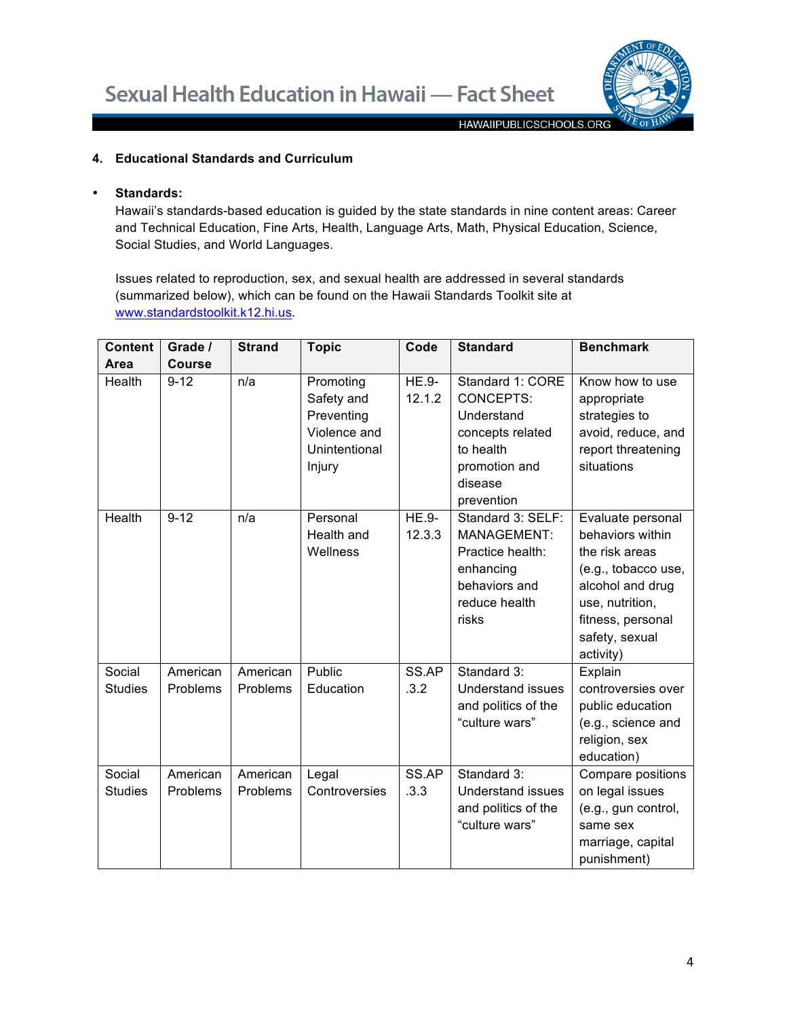

## **4. Educational Standards and Curriculum**

### • **Standards:**

Hawaii's standards-based education is guided by the state standards in nine content areas: Career and Technical Education, Fine Arts, Health, Language Arts, Math, Physical Education, Science, Social Studies, and World Languages.

Issues related to reproduction, sex, and sexual health are addressed in several standards (summarized below), which can be found on the Hawaii Standards Toolkit site at www.standardstoolkit.k12.hi.us.

| <b>Content</b>           | Grade /              | <b>Strand</b>        | <b>Topic</b>                                                                     | Code                   | <b>Standard</b>                                                                                                               | <b>Benchmark</b>                                                                                                                                                          |
|--------------------------|----------------------|----------------------|----------------------------------------------------------------------------------|------------------------|-------------------------------------------------------------------------------------------------------------------------------|---------------------------------------------------------------------------------------------------------------------------------------------------------------------------|
| Area                     | <b>Course</b>        |                      |                                                                                  |                        |                                                                                                                               |                                                                                                                                                                           |
| Health                   | $9 - 12$             | n/a                  | Promoting<br>Safety and<br>Preventing<br>Violence and<br>Unintentional<br>Injury | <b>HE.9-</b><br>12.1.2 | Standard 1: CORE<br><b>CONCEPTS:</b><br>Understand<br>concepts related<br>to health<br>promotion and<br>disease<br>prevention | Know how to use<br>appropriate<br>strategies to<br>avoid, reduce, and<br>report threatening<br>situations                                                                 |
| Health                   | $9 - 12$             | n/a                  | Personal<br>Health and<br>Wellness                                               | <b>HE.9-</b><br>12.3.3 | Standard 3: SELF:<br>MANAGEMENT:<br>Practice health:<br>enhancing<br>behaviors and<br>reduce health<br>risks                  | Evaluate personal<br>behaviors within<br>the risk areas<br>(e.g., tobacco use,<br>alcohol and drug<br>use, nutrition,<br>fitness, personal<br>safety, sexual<br>activity) |
| Social<br><b>Studies</b> | American<br>Problems | American<br>Problems | Public<br>Education                                                              | SS.AP<br>.3.2          | Standard 3:<br><b>Understand issues</b><br>and politics of the<br>"culture wars"                                              | Explain<br>controversies over<br>public education<br>(e.g., science and<br>religion, sex<br>education)                                                                    |
| Social<br><b>Studies</b> | American<br>Problems | American<br>Problems | Legal<br>Controversies                                                           | SS.AP<br>.3.3          | Standard 3:<br><b>Understand issues</b><br>and politics of the<br>"culture wars"                                              | Compare positions<br>on legal issues<br>(e.g., gun control,<br>same sex<br>marriage, capital<br>punishment)                                                               |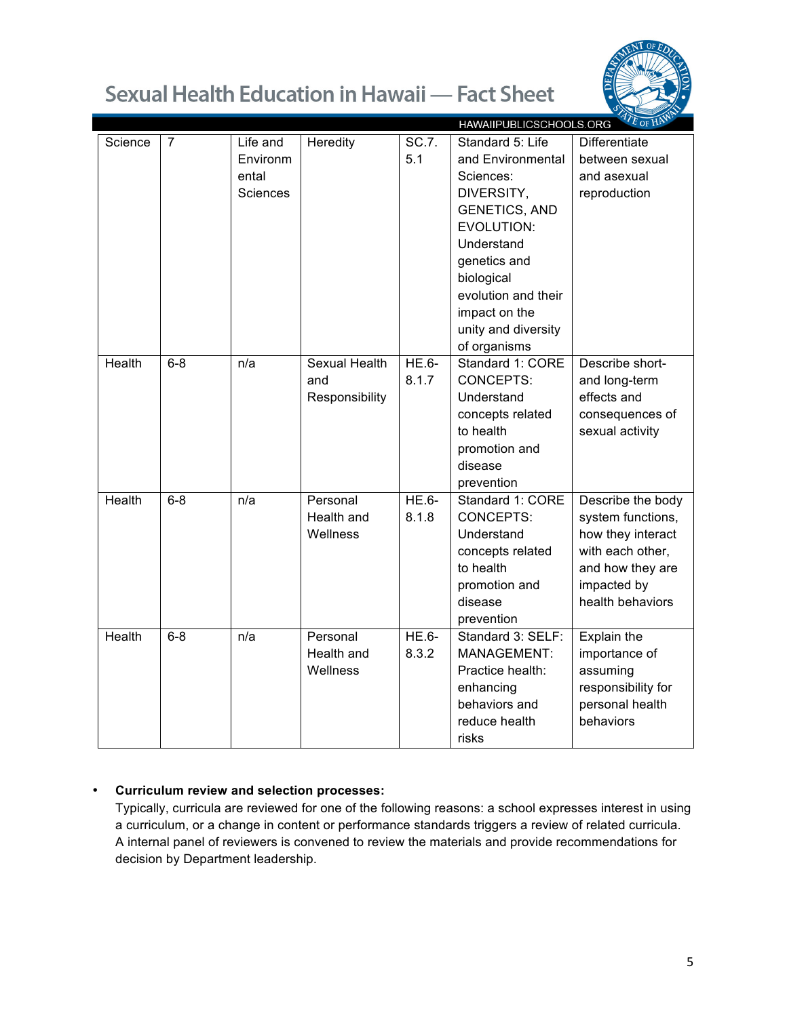

|               |                |                 |                      |         | HAWAIIPUBLICSCHOOLS.ORG <sup>27</sup> E OF HAV |                      |
|---------------|----------------|-----------------|----------------------|---------|------------------------------------------------|----------------------|
| Science       | $\overline{7}$ | Life and        | Heredity             | SC.7.   | Standard 5: Life                               | <b>Differentiate</b> |
|               |                | Environm        |                      | 5.1     | and Environmental                              | between sexual       |
|               |                | ental           |                      |         | Sciences:                                      | and asexual          |
|               |                | <b>Sciences</b> |                      |         | DIVERSITY,                                     | reproduction         |
|               |                |                 |                      |         | <b>GENETICS, AND</b>                           |                      |
|               |                |                 |                      |         | <b>EVOLUTION:</b>                              |                      |
|               |                |                 |                      |         | Understand                                     |                      |
|               |                |                 |                      |         | genetics and                                   |                      |
|               |                |                 |                      |         | biological                                     |                      |
|               |                |                 |                      |         | evolution and their                            |                      |
|               |                |                 |                      |         | impact on the                                  |                      |
|               |                |                 |                      |         | unity and diversity                            |                      |
|               |                |                 |                      |         | of organisms                                   |                      |
| <b>Health</b> | $6 - 8$        | n/a             | <b>Sexual Health</b> | HE.6-   | Standard 1: CORE                               | Describe short-      |
|               |                |                 | and                  | 8.1.7   | CONCEPTS:                                      | and long-term        |
|               |                |                 | Responsibility       |         | Understand                                     | effects and          |
|               |                |                 |                      |         | concepts related                               | consequences of      |
|               |                |                 |                      |         | to health                                      | sexual activity      |
|               |                |                 |                      |         | promotion and                                  |                      |
|               |                |                 |                      |         | disease                                        |                      |
|               |                |                 |                      |         | prevention                                     |                      |
| Health        | $6 - 8$        | n/a             | Personal             | HE.6-   | Standard 1: CORE                               | Describe the body    |
|               |                |                 | Health and           | 8.1.8   | <b>CONCEPTS:</b>                               | system functions,    |
|               |                |                 | Wellness             |         | Understand                                     | how they interact    |
|               |                |                 |                      |         | concepts related                               | with each other,     |
|               |                |                 |                      |         | to health                                      | and how they are     |
|               |                |                 |                      |         | promotion and                                  | impacted by          |
|               |                |                 |                      |         | disease                                        | health behaviors     |
|               |                |                 |                      |         | prevention                                     |                      |
| Health        | $6 - 8$        | n/a             | Personal             | $HE.6-$ | Standard 3: SELF:                              | Explain the          |
|               |                |                 | Health and           | 8.3.2   | MANAGEMENT:                                    | importance of        |
|               |                |                 | Wellness             |         | Practice health:                               | assuming             |
|               |                |                 |                      |         | enhancing                                      | responsibility for   |
|               |                |                 |                      |         | behaviors and                                  | personal health      |
|               |                |                 |                      |         | reduce health                                  | behaviors            |
|               |                |                 |                      |         | risks                                          |                      |

# • **Curriculum review and selection processes:**

Typically, curricula are reviewed for one of the following reasons: a school expresses interest in using a curriculum, or a change in content or performance standards triggers a review of related curricula. A internal panel of reviewers is convened to review the materials and provide recommendations for decision by Department leadership.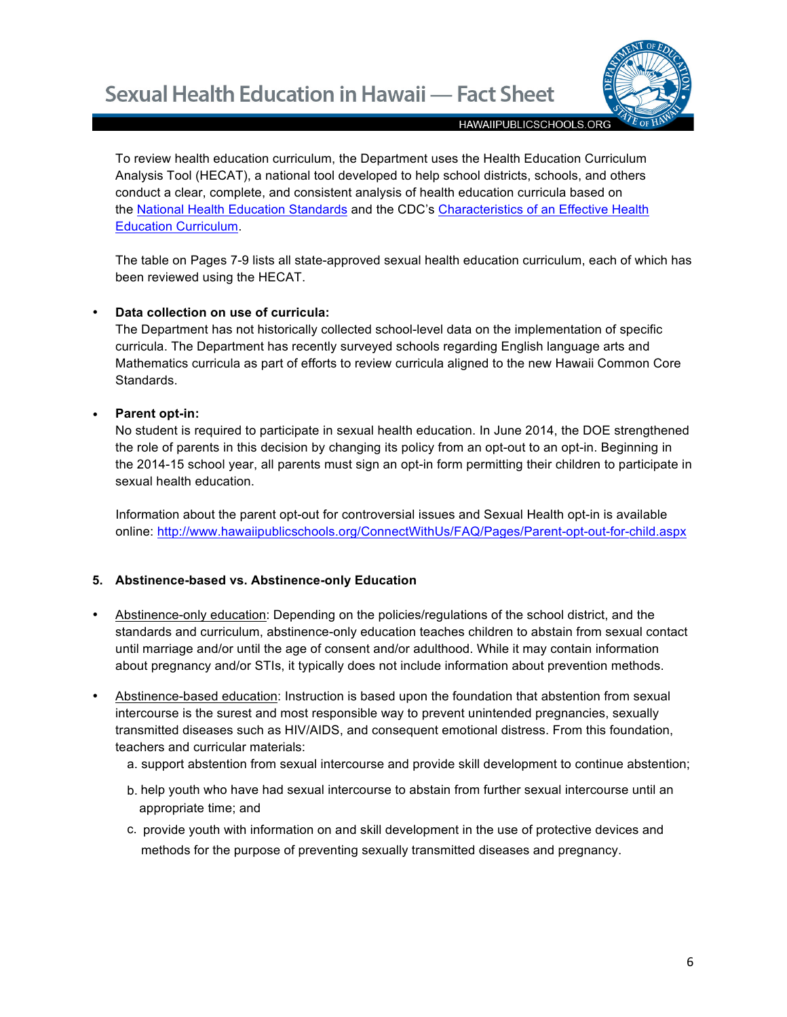

To review health education curriculum, the Department uses the Health Education Curriculum Analysis Tool (HECAT), a national tool developed to help school districts, schools, and others conduct a clear, complete, and consistent analysis of health education curricula based on the National Health Education Standards and the CDC's Characteristics of an Effective Health Education Curriculum.

The table on Pages 7-9 lists all state-approved sexual health education curriculum, each of which has been reviewed using the HECAT.

## • **Data collection on use of curricula:**

The Department has not historically collected school-level data on the implementation of specific curricula. The Department has recently surveyed schools regarding English language arts and Mathematics curricula as part of efforts to review curricula aligned to the new Hawaii Common Core Standards.

## • **Parent opt-in:**

No student is required to participate in sexual health education. In June 2014, the DOE strengthened the role of parents in this decision by changing its policy from an opt-out to an opt-in. Beginning in the 2014-15 school year, all parents must sign an opt-in form permitting their children to participate in sexual health education.

Information about the parent opt-out for controversial issues and Sexual Health opt-in is available online: http://www.hawaiipublicschools.org/ConnectWithUs/FAQ/Pages/Parent-opt-out-for-child.aspx

## **5. Abstinence-based vs. Abstinence-only Education**

- Abstinence-only education: Depending on the policies/regulations of the school district, and the standards and curriculum, abstinence-only education teaches children to abstain from sexual contact until marriage and/or until the age of consent and/or adulthood. While it may contain information about pregnancy and/or STIs, it typically does not include information about prevention methods.
- Abstinence-based education: Instruction is based upon the foundation that abstention from sexual intercourse is the surest and most responsible way to prevent unintended pregnancies, sexually transmitted diseases such as HIV/AIDS, and consequent emotional distress. From this foundation, teachers and curricular materials:
	- a. support abstention from sexual intercourse and provide skill development to continue abstention;
	- b. help youth who have had sexual intercourse to abstain from further sexual intercourse until an appropriate time; and
	- c. provide youth with information on and skill development in the use of protective devices and methods for the purpose of preventing sexually transmitted diseases and pregnancy.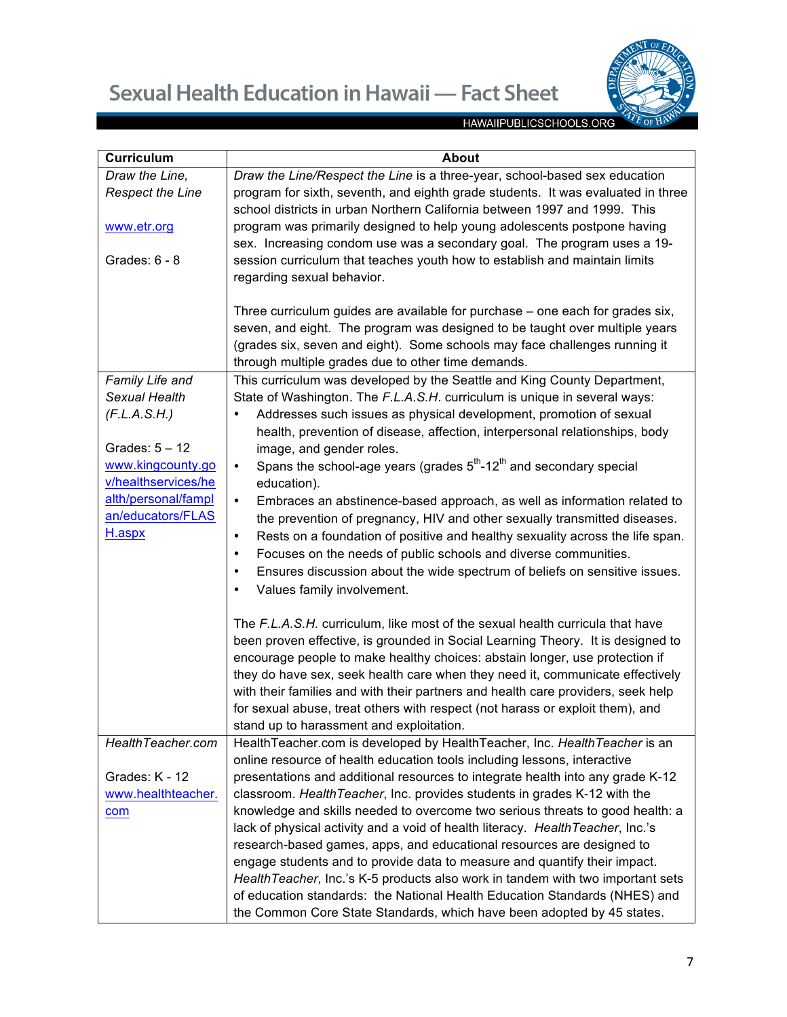

| <b>Curriculum</b>                                  | <b>About</b>                                                                                                                                                                                                                                                                                                                                                                                                                                                                                                                                      |
|----------------------------------------------------|---------------------------------------------------------------------------------------------------------------------------------------------------------------------------------------------------------------------------------------------------------------------------------------------------------------------------------------------------------------------------------------------------------------------------------------------------------------------------------------------------------------------------------------------------|
| Draw the Line,                                     | Draw the Line/Respect the Line is a three-year, school-based sex education                                                                                                                                                                                                                                                                                                                                                                                                                                                                        |
| <b>Respect the Line</b>                            | program for sixth, seventh, and eighth grade students. It was evaluated in three<br>school districts in urban Northern California between 1997 and 1999. This                                                                                                                                                                                                                                                                                                                                                                                     |
| www.etr.org                                        | program was primarily designed to help young adolescents postpone having<br>sex. Increasing condom use was a secondary goal. The program uses a 19-                                                                                                                                                                                                                                                                                                                                                                                               |
| Grades: $6 - 8$                                    | session curriculum that teaches youth how to establish and maintain limits<br>regarding sexual behavior.                                                                                                                                                                                                                                                                                                                                                                                                                                          |
|                                                    | Three curriculum guides are available for purchase - one each for grades six,<br>seven, and eight. The program was designed to be taught over multiple years<br>(grades six, seven and eight). Some schools may face challenges running it<br>through multiple grades due to other time demands.                                                                                                                                                                                                                                                  |
| Family Life and                                    | This curriculum was developed by the Seattle and King County Department,                                                                                                                                                                                                                                                                                                                                                                                                                                                                          |
| Sexual Health<br>(F.L.A.S.H.)<br>Grades: $5 - 12$  | State of Washington. The F.L.A.S.H. curriculum is unique in several ways:<br>Addresses such issues as physical development, promotion of sexual<br>٠<br>health, prevention of disease, affection, interpersonal relationships, body<br>image, and gender roles.                                                                                                                                                                                                                                                                                   |
| www.kingcounty.go<br>v/healthservices/he           | Spans the school-age years (grades $5th$ -12 <sup>th</sup> and secondary special<br>$\bullet$<br>education).                                                                                                                                                                                                                                                                                                                                                                                                                                      |
| alth/personal/fampl<br>an/educators/FLAS<br>H.aspx | Embraces an abstinence-based approach, as well as information related to<br>$\bullet$<br>the prevention of pregnancy, HIV and other sexually transmitted diseases.<br>Rests on a foundation of positive and healthy sexuality across the life span.<br>$\bullet$<br>Focuses on the needs of public schools and diverse communities.<br>$\bullet$<br>Ensures discussion about the wide spectrum of beliefs on sensitive issues.<br>$\bullet$<br>Values family involvement.<br>٠                                                                    |
|                                                    | The F.L.A.S.H. curriculum, like most of the sexual health curricula that have<br>been proven effective, is grounded in Social Learning Theory. It is designed to<br>encourage people to make healthy choices: abstain longer, use protection if<br>they do have sex, seek health care when they need it, communicate effectively<br>with their families and with their partners and health care providers, seek help<br>for sexual abuse, treat others with respect (not harass or exploit them), and<br>stand up to harassment and exploitation. |
| HealthTeacher.com                                  | HealthTeacher.com is developed by HealthTeacher, Inc. HealthTeacher is an                                                                                                                                                                                                                                                                                                                                                                                                                                                                         |
|                                                    | online resource of health education tools including lessons, interactive                                                                                                                                                                                                                                                                                                                                                                                                                                                                          |
| Grades: K - 12<br>www.healthteacher.               | presentations and additional resources to integrate health into any grade K-12<br>classroom. Health Teacher, Inc. provides students in grades K-12 with the                                                                                                                                                                                                                                                                                                                                                                                       |
| com                                                | knowledge and skills needed to overcome two serious threats to good health: a                                                                                                                                                                                                                                                                                                                                                                                                                                                                     |
|                                                    | lack of physical activity and a void of health literacy. Health Teacher, Inc.'s                                                                                                                                                                                                                                                                                                                                                                                                                                                                   |
|                                                    | research-based games, apps, and educational resources are designed to                                                                                                                                                                                                                                                                                                                                                                                                                                                                             |
|                                                    | engage students and to provide data to measure and quantify their impact.                                                                                                                                                                                                                                                                                                                                                                                                                                                                         |
|                                                    | Health Teacher, Inc.'s K-5 products also work in tandem with two important sets<br>of education standards: the National Health Education Standards (NHES) and                                                                                                                                                                                                                                                                                                                                                                                     |
|                                                    | the Common Core State Standards, which have been adopted by 45 states.                                                                                                                                                                                                                                                                                                                                                                                                                                                                            |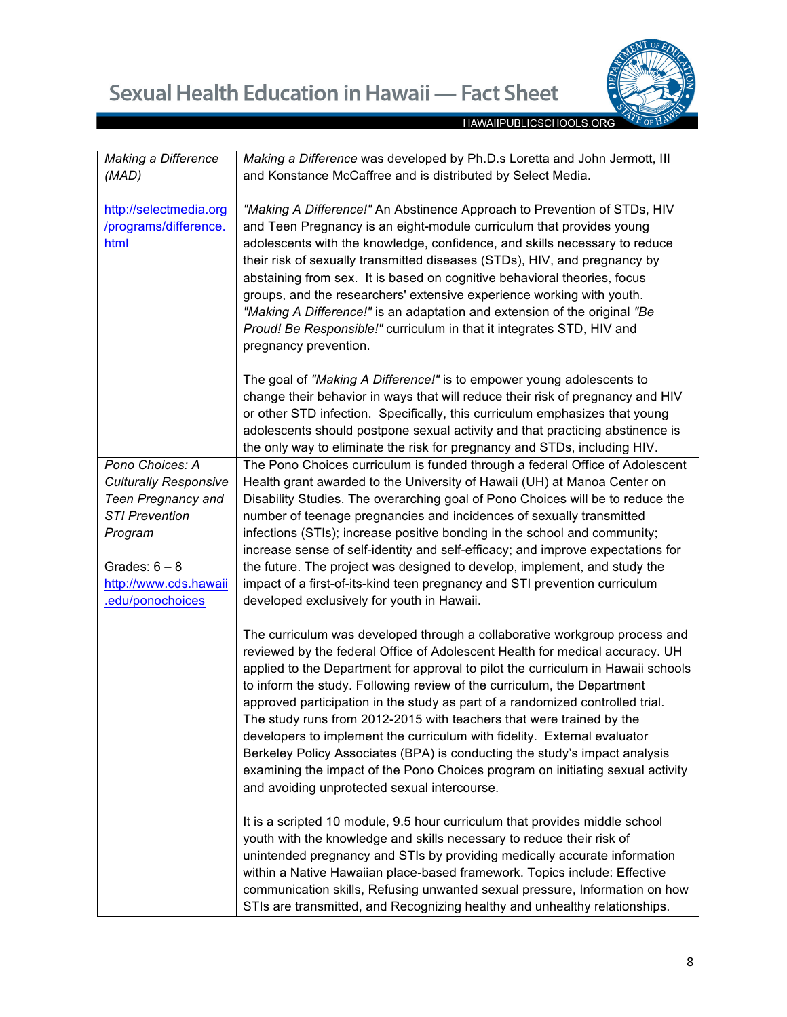

| <b>Making a Difference</b>   | Making a Difference was developed by Ph.D.s Loretta and John Jermott, III        |
|------------------------------|----------------------------------------------------------------------------------|
| (MAD)                        | and Konstance McCaffree and is distributed by Select Media.                      |
|                              |                                                                                  |
| http://selectmedia.org       | "Making A Difference!" An Abstinence Approach to Prevention of STDs, HIV         |
|                              |                                                                                  |
| /programs/difference.        | and Teen Pregnancy is an eight-module curriculum that provides young             |
| html                         | adolescents with the knowledge, confidence, and skills necessary to reduce       |
|                              | their risk of sexually transmitted diseases (STDs), HIV, and pregnancy by        |
|                              | abstaining from sex. It is based on cognitive behavioral theories, focus         |
|                              |                                                                                  |
|                              | groups, and the researchers' extensive experience working with youth.            |
|                              | "Making A Difference!" is an adaptation and extension of the original "Be        |
|                              | Proud! Be Responsible!" curriculum in that it integrates STD, HIV and            |
|                              |                                                                                  |
|                              | pregnancy prevention.                                                            |
|                              |                                                                                  |
|                              | The goal of "Making A Difference!" is to empower young adolescents to            |
|                              | change their behavior in ways that will reduce their risk of pregnancy and HIV   |
|                              |                                                                                  |
|                              | or other STD infection. Specifically, this curriculum emphasizes that young      |
|                              | adolescents should postpone sexual activity and that practicing abstinence is    |
|                              | the only way to eliminate the risk for pregnancy and STDs, including HIV.        |
| Pono Choices: A              | The Pono Choices curriculum is funded through a federal Office of Adolescent     |
|                              |                                                                                  |
| <b>Culturally Responsive</b> | Health grant awarded to the University of Hawaii (UH) at Manoa Center on         |
| <b>Teen Pregnancy and</b>    | Disability Studies. The overarching goal of Pono Choices will be to reduce the   |
| <b>STI Prevention</b>        | number of teenage pregnancies and incidences of sexually transmitted             |
| Program                      | infections (STIs); increase positive bonding in the school and community;        |
|                              |                                                                                  |
|                              | increase sense of self-identity and self-efficacy; and improve expectations for  |
| Grades: $6 - 8$              | the future. The project was designed to develop, implement, and study the        |
| http://www.cds.hawaii        | impact of a first-of-its-kind teen pregnancy and STI prevention curriculum       |
| .edu/ponochoices             | developed exclusively for youth in Hawaii.                                       |
|                              |                                                                                  |
|                              | The curriculum was developed through a collaborative workgroup process and       |
|                              | reviewed by the federal Office of Adolescent Health for medical accuracy. UH     |
|                              | applied to the Department for approval to pilot the curriculum in Hawaii schools |
|                              |                                                                                  |
|                              | to inform the study. Following review of the curriculum, the Department          |
|                              | approved participation in the study as part of a randomized controlled trial.    |
|                              | The study runs from 2012-2015 with teachers that were trained by the             |
|                              | developers to implement the curriculum with fidelity. External evaluator         |
|                              |                                                                                  |
|                              | Berkeley Policy Associates (BPA) is conducting the study's impact analysis       |
|                              | examining the impact of the Pono Choices program on initiating sexual activity   |
|                              | and avoiding unprotected sexual intercourse.                                     |
|                              |                                                                                  |
|                              | It is a scripted 10 module, 9.5 hour curriculum that provides middle school      |
|                              | youth with the knowledge and skills necessary to reduce their risk of            |
|                              |                                                                                  |
|                              | unintended pregnancy and STIs by providing medically accurate information        |
|                              | within a Native Hawaiian place-based framework. Topics include: Effective        |
|                              | communication skills, Refusing unwanted sexual pressure, Information on how      |
|                              | STIs are transmitted, and Recognizing healthy and unhealthy relationships.       |